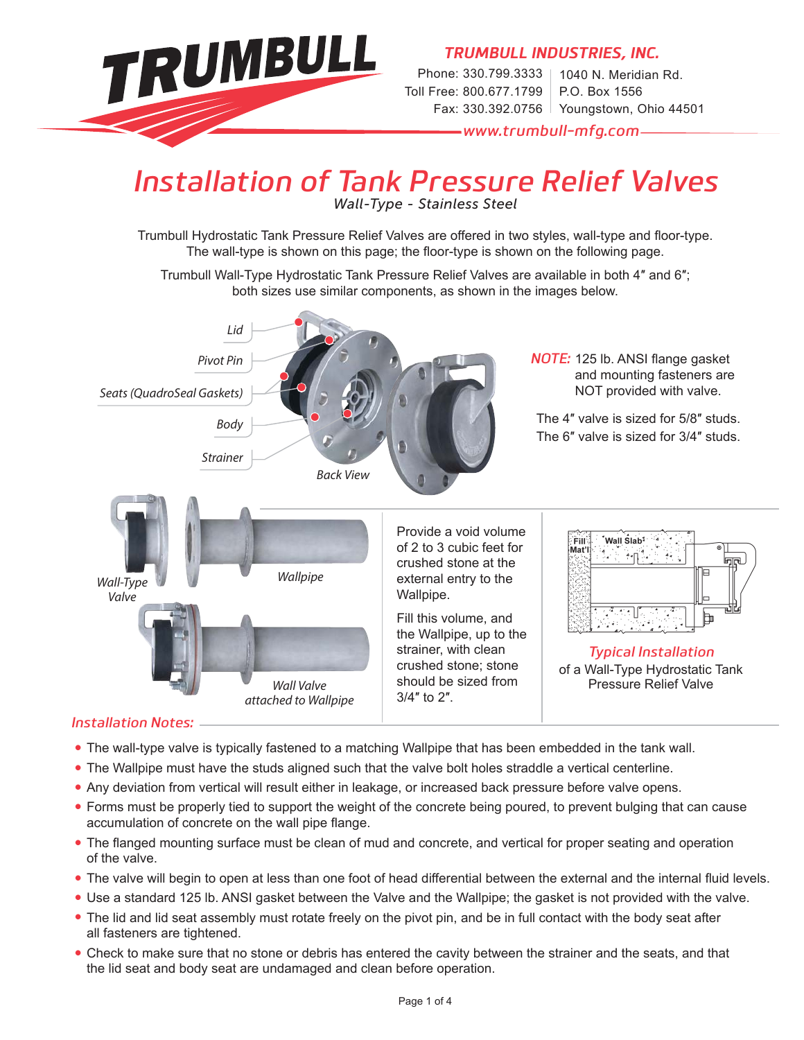

## *Installation of Tank Pressure Relief Valves*

*Wall-Type - Stainless Steel*

Trumbull Hydrostatic Tank Pressure Relief Valves are offered in two styles, wall-type and floor-type. The wall-type is shown on this page; the floor-type is shown on the following page.

Trumbull Wall-Type Hydrostatic Tank Pressure Relief Valves are available in both 4″ and 6″; both sizes use similar components, as shown in the images below.



#### *Installation Notes:*

- **•** The wall-type valve is typically fastened to a matching Wallpipe that has been embedded in the tank wall.
- **•** The Wallpipe must have the studs aligned such that the valve bolt holes straddle a vertical centerline.
- **•** Any deviation from vertical will result either in leakage, or increased back pressure before valve opens.
- **•** Forms must be properly tied to support the weight of the concrete being poured, to prevent bulging that can cause accumulation of concrete on the wall pipe flange.
- The flanged mounting surface must be clean of mud and concrete, and vertical for proper seating and operation of the valve.
- The valve will begin to open at less than one foot of head differential between the external and the internal fluid levels.
- **•** Use a standard 125 lb. ANSI gasket between the Valve and the Wallpipe; the gasket is not provided with the valve.
- **•** The lid and lid seat assembly must rotate freely on the pivot pin, and be in full contact with the body seat after all fasteners are tightened.
- **•** Check to make sure that no stone or debris has entered the cavity between the strainer and the seats, and that the lid seat and body seat are undamaged and clean before operation.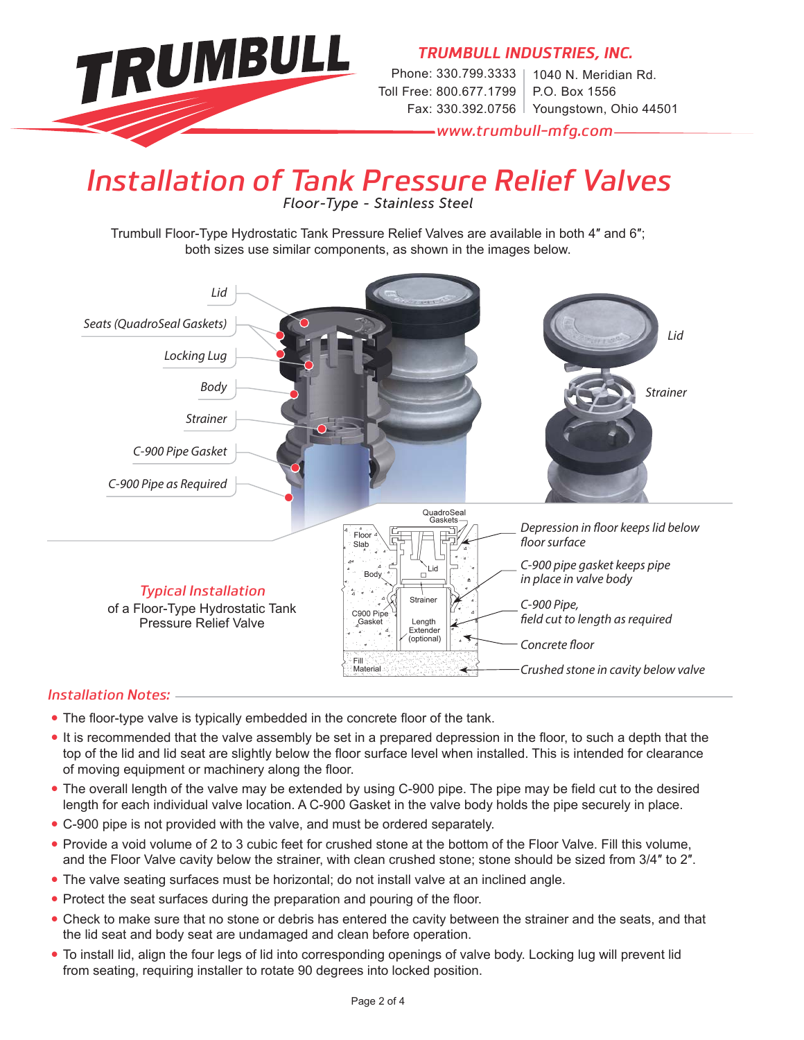

*TRUMBULL INDUSTRIES, INC.*

Phone: 330.799.3333 | Toll Free: 800.677.1799 Fax: 330.392.0756 Youngstown, Ohio 44501 1040 N. Meridian Rd. P.O. Box 1556

*www.trumbull-mfg.com*

### *Installation of Tank Pressure Relief Valves Floor-Type - Stainless Steel*

Trumbull Floor-Type Hydrostatic Tank Pressure Relief Valves are available in both 4″ and 6″; both sizes use similar components, as shown in the images below.



#### *Installation Notes:*

- The floor-type valve is typically embedded in the concrete floor of the tank.
- It is recommended that the valve assembly be set in a prepared depression in the floor, to such a depth that the top of the lid and lid seat are slightly below the floor surface level when installed. This is intended for clearance of moving equipment or machinery along the floor.
- The overall length of the valve may be extended by using C-900 pipe. The pipe may be field cut to the desired length for each individual valve location. A C-900 Gasket in the valve body holds the pipe securely in place.
- **•** C-900 pipe is not provided with the valve, and must be ordered separately.
- **•** Provide a void volume of 2 to 3 cubic feet for crushed stone at the bottom of the Floor Valve. Fill this volume, and the Floor Valve cavity below the strainer, with clean crushed stone; stone should be sized from 3/4″ to 2″.
- **•** The valve seating surfaces must be horizontal; do not install valve at an inclined angle.
- Protect the seat surfaces during the preparation and pouring of the floor.
- **•** Check to make sure that no stone or debris has entered the cavity between the strainer and the seats, and that the lid seat and body seat are undamaged and clean before operation.
- **•** To install lid, align the four legs of lid into corresponding openings of valve body. Locking lug will prevent lid from seating, requiring installer to rotate 90 degrees into locked position.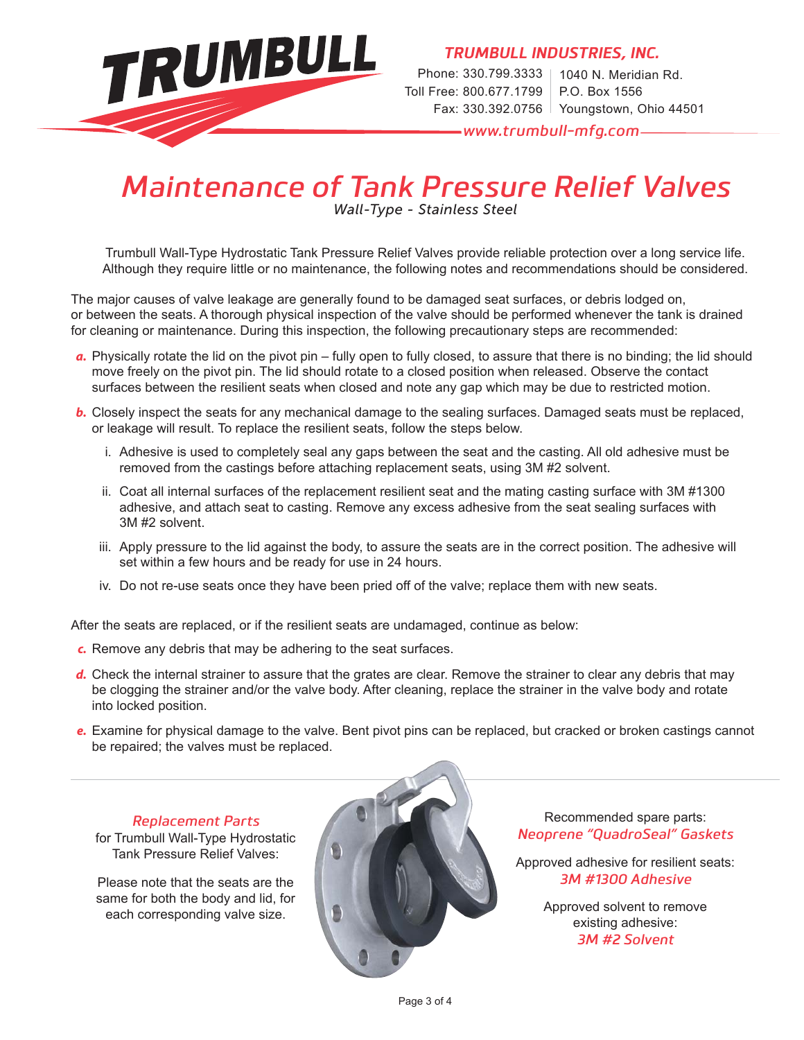

*TRUMBULL INDUSTRIES, INC.*

Phone: 330.799.3333 | 1040 N. Meridian Rd. Toll Free: 800.677.1799 Fax: 330.392.0756 Youngstown, Ohio 44501 P.O. Box 1556

*www.trumbull-mfg.com*

# *Maintenance of Tank Pressure Relief Valves*

*Wall-Type - Stainless Steel*

Trumbull Wall-Type Hydrostatic Tank Pressure Relief Valves provide reliable protection over a long service life. Although they require little or no maintenance, the following notes and recommendations should be considered.

The major causes of valve leakage are generally found to be damaged seat surfaces, or debris lodged on, or between the seats. A thorough physical inspection of the valve should be performed whenever the tank is drained for cleaning or maintenance. During this inspection, the following precautionary steps are recommended:

- *a.* Physically rotate the lid on the pivot pin fully open to fully closed, to assure that there is no binding; the lid should move freely on the pivot pin. The lid should rotate to a closed position when released. Observe the contact surfaces between the resilient seats when closed and note any gap which may be due to restricted motion.
- *b.* Closely inspect the seats for any mechanical damage to the sealing surfaces. Damaged seats must be replaced, or leakage will result. To replace the resilient seats, follow the steps below.
	- i. Adhesive is used to completely seal any gaps between the seat and the casting. All old adhesive must be removed from the castings before attaching replacement seats, using 3M #2 solvent.
	- ii. Coat all internal surfaces of the replacement resilient seat and the mating casting surface with 3M #1300 adhesive, and attach seat to casting. Remove any excess adhesive from the seat sealing surfaces with 3M #2 solvent.
	- iii. Apply pressure to the lid against the body, to assure the seats are in the correct position. The adhesive will set within a few hours and be ready for use in 24 hours.
	- iv. Do not re-use seats once they have been pried off of the valve; replace them with new seats.

After the seats are replaced, or if the resilient seats are undamaged, continue as below:

- *c.* Remove any debris that may be adhering to the seat surfaces.
- *d.* Check the internal strainer to assure that the grates are clear. Remove the strainer to clear any debris that may be clogging the strainer and/or the valve body. After cleaning, replace the strainer in the valve body and rotate into locked position.
- *e.* Examine for physical damage to the valve. Bent pivot pins can be replaced, but cracked or broken castings cannot be repaired; the valves must be replaced.

#### *Replacement Parts*

for Trumbull Wall-Type Hydrostatic Tank Pressure Relief Valves:

Please note that the seats are the same for both the body and lid, for each corresponding valve size.



Recommended spare parts: *Neoprene "QuadroSeal" Gaskets* 

Approved adhesive for resilient seats: *3M #1300 Adhesive*

> Approved solvent to remove existing adhesive: *3M #2 Solvent*